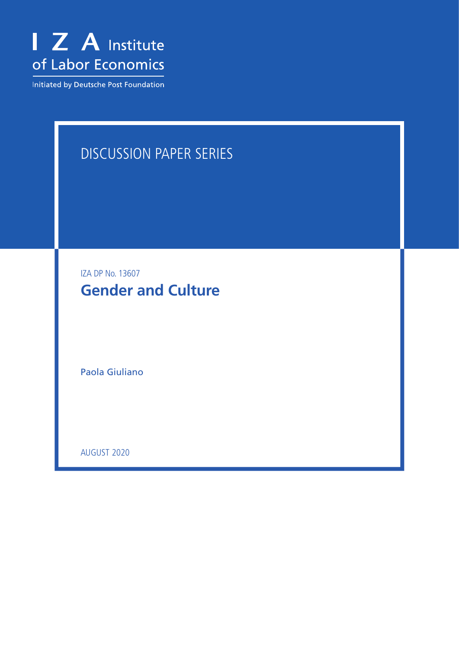

Initiated by Deutsche Post Foundation

# DISCUSSION PAPER SERIES

IZA DP No. 13607 **Gender and Culture**

Paola Giuliano

AUGUST 2020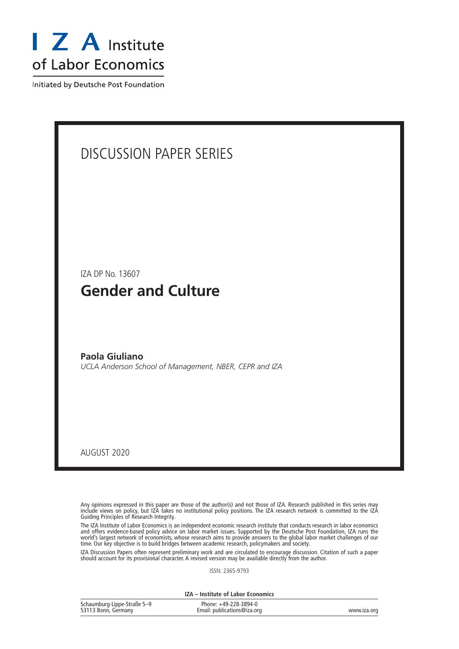

Initiated by Deutsche Post Foundation

# DISCUSSION PAPER SERIES IZA DP No. 13607 **Gender and Culture Paola Giuliano** *UCLA Anderson School of Management, NBER, CEPR and IZA*

AUGUST 2020

Any opinions expressed in this paper are those of the author(s) and not those of IZA. Research published in this series may include views on policy, but IZA takes no institutional policy positions. The IZA research network is committed to the IZA Guiding Principles of Research Integrity.

The IZA Institute of Labor Economics is an independent economic research institute that conducts research in labor economics and offers evidence-based policy advice on labor market issues. Supported by the Deutsche Post Foundation, IZA runs the world's largest network of economists, whose research aims to provide answers to the global labor market challenges of our time. Our key objective is to build bridges between academic research, policymakers and society.

IZA Discussion Papers often represent preliminary work and are circulated to encourage discussion. Citation of such a paper should account for its provisional character. A revised version may be available directly from the author.

ISSN: 2365-9793

**IZA – Institute of Labor Economics**

| Schaumburg-Lippe-Straße 5-9 | Phone: +49-228-3894-0       |             |
|-----------------------------|-----------------------------|-------------|
| 53113 Bonn, Germany         | Email: publications@iza.org | www.iza.org |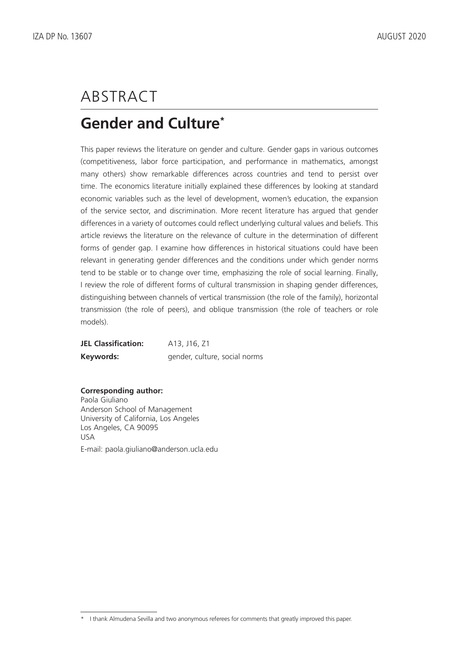# ABSTRACT

# **Gender and Culture\***

This paper reviews the literature on gender and culture. Gender gaps in various outcomes (competitiveness, labor force participation, and performance in mathematics, amongst many others) show remarkable differences across countries and tend to persist over time. The economics literature initially explained these differences by looking at standard economic variables such as the level of development, women's education, the expansion of the service sector, and discrimination. More recent literature has argued that gender differences in a variety of outcomes could reflect underlying cultural values and beliefs. This article reviews the literature on the relevance of culture in the determination of different forms of gender gap. I examine how differences in historical situations could have been relevant in generating gender differences and the conditions under which gender norms tend to be stable or to change over time, emphasizing the role of social learning. Finally, I review the role of different forms of cultural transmission in shaping gender differences, distinguishing between channels of vertical transmission (the role of the family), horizontal transmission (the role of peers), and oblique transmission (the role of teachers or role models).

**JEL Classification:** A13, J16, Z1 **Keywords:** gender, culture, social norms

# **Corresponding author:**

Paola Giuliano Anderson School of Management University of California, Los Angeles Los Angeles, CA 90095 USA E-mail: paola.giuliano@anderson.ucla.edu

<sup>\*</sup> I thank Almudena Sevilla and two anonymous referees for comments that greatly improved this paper.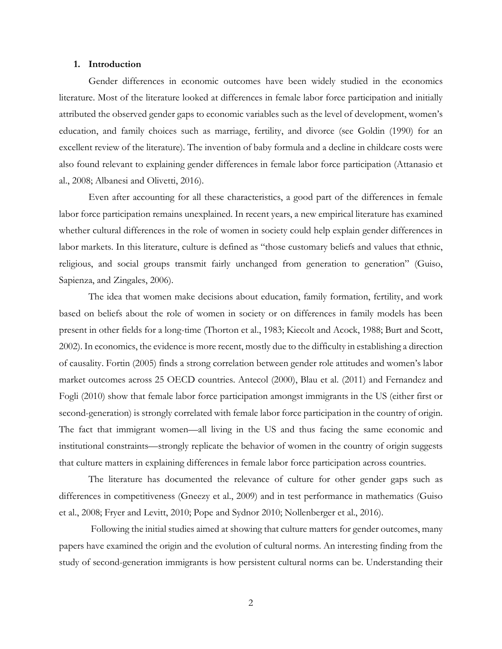#### **1. Introduction**

Gender differences in economic outcomes have been widely studied in the economics literature. Most of the literature looked at differences in female labor force participation and initially attributed the observed gender gaps to economic variables such as the level of development, women's education, and family choices such as marriage, fertility, and divorce (see Goldin (1990) for an excellent review of the literature). The invention of baby formula and a decline in childcare costs were also found relevant to explaining gender differences in female labor force participation (Attanasio et al., 2008; Albanesi and Olivetti, 2016).

Even after accounting for all these characteristics, a good part of the differences in female labor force participation remains unexplained. In recent years, a new empirical literature has examined whether cultural differences in the role of women in society could help explain gender differences in labor markets. In this literature, culture is defined as "those customary beliefs and values that ethnic, religious, and social groups transmit fairly unchanged from generation to generation" (Guiso, Sapienza, and Zingales, 2006).

The idea that women make decisions about education, family formation, fertility, and work based on beliefs about the role of women in society or on differences in family models has been present in other fields for a long-time (Thorton et al., 1983; Kiecolt and Acock, 1988; Burt and Scott, 2002). In economics, the evidence is more recent, mostly due to the difficulty in establishing a direction of causality. Fortin (2005) finds a strong correlation between gender role attitudes and women's labor market outcomes across 25 OECD countries. Antecol (2000), Blau et al. (2011) and Fernandez and Fogli (2010) show that female labor force participation amongst immigrants in the US (either first or second-generation) is strongly correlated with female labor force participation in the country of origin. The fact that immigrant women—all living in the US and thus facing the same economic and institutional constraints—strongly replicate the behavior of women in the country of origin suggests that culture matters in explaining differences in female labor force participation across countries.

The literature has documented the relevance of culture for other gender gaps such as differences in competitiveness (Gneezy et al., 2009) and in test performance in mathematics (Guiso et al., 2008; Fryer and Levitt, 2010; Pope and Sydnor 2010; Nollenberger et al., 2016).

Following the initial studies aimed at showing that culture matters for gender outcomes, many papers have examined the origin and the evolution of cultural norms. An interesting finding from the study of second-generation immigrants is how persistent cultural norms can be. Understanding their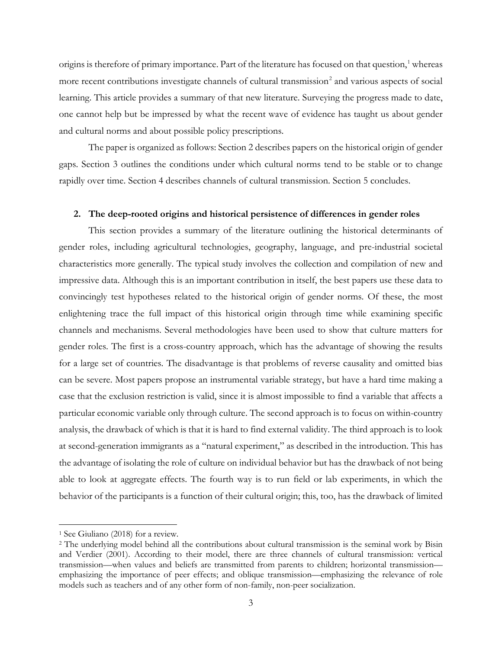origins is therefore of primary importance. Part of the literature has focused on that question,<sup>[1](#page-4-0)</sup> whereas more recent contributions investigate channels of cultural transmission<sup>[2](#page-4-1)</sup> and various aspects of social learning. This article provides a summary of that new literature. Surveying the progress made to date, one cannot help but be impressed by what the recent wave of evidence has taught us about gender and cultural norms and about possible policy prescriptions.

The paper is organized as follows: Section 2 describes papers on the historical origin of gender gaps. Section 3 outlines the conditions under which cultural norms tend to be stable or to change rapidly over time. Section 4 describes channels of cultural transmission. Section 5 concludes.

#### **2. The deep-rooted origins and historical persistence of differences in gender roles**

This section provides a summary of the literature outlining the historical determinants of gender roles, including agricultural technologies, geography, language, and pre-industrial societal characteristics more generally. The typical study involves the collection and compilation of new and impressive data. Although this is an important contribution in itself, the best papers use these data to convincingly test hypotheses related to the historical origin of gender norms. Of these, the most enlightening trace the full impact of this historical origin through time while examining specific channels and mechanisms. Several methodologies have been used to show that culture matters for gender roles. The first is a cross-country approach, which has the advantage of showing the results for a large set of countries. The disadvantage is that problems of reverse causality and omitted bias can be severe. Most papers propose an instrumental variable strategy, but have a hard time making a case that the exclusion restriction is valid, since it is almost impossible to find a variable that affects a particular economic variable only through culture. The second approach is to focus on within-country analysis, the drawback of which is that it is hard to find external validity. The third approach is to look at second-generation immigrants as a "natural experiment," as described in the introduction. This has the advantage of isolating the role of culture on individual behavior but has the drawback of not being able to look at aggregate effects. The fourth way is to run field or lab experiments, in which the behavior of the participants is a function of their cultural origin; this, too, has the drawback of limited

<span id="page-4-0"></span><sup>1</sup> See Giuliano (2018) for a review.

<span id="page-4-1"></span><sup>&</sup>lt;sup>2</sup> The underlying model behind all the contributions about cultural transmission is the seminal work by Bisin and Verdier (2001). According to their model, there are three channels of cultural transmission: vertical transmission—when values and beliefs are transmitted from parents to children; horizontal transmission emphasizing the importance of peer effects; and oblique transmission—emphasizing the relevance of role models such as teachers and of any other form of non-family, non-peer socialization.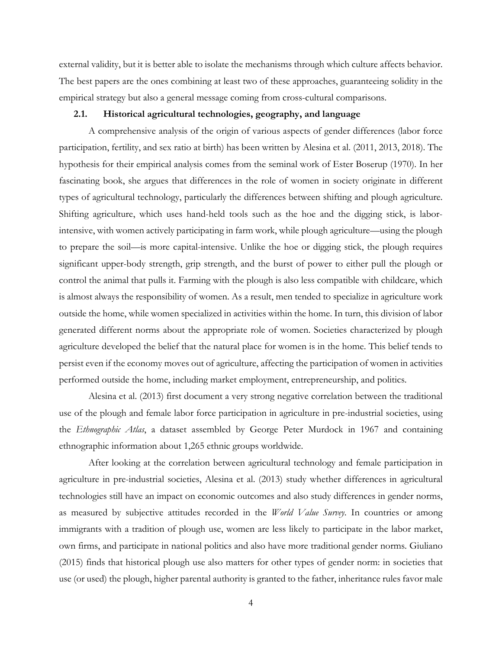external validity, but it is better able to isolate the mechanisms through which culture affects behavior. The best papers are the ones combining at least two of these approaches, guaranteeing solidity in the empirical strategy but also a general message coming from cross-cultural comparisons.

#### **2.1. Historical agricultural technologies, geography, and language**

A comprehensive analysis of the origin of various aspects of gender differences (labor force participation, fertility, and sex ratio at birth) has been written by Alesina et al. (2011, 2013, 2018). The hypothesis for their empirical analysis comes from the seminal work of Ester Boserup (1970). In her fascinating book, she argues that differences in the role of women in society originate in different types of agricultural technology, particularly the differences between shifting and plough agriculture. Shifting agriculture, which uses hand-held tools such as the hoe and the digging stick, is laborintensive, with women actively participating in farm work, while plough agriculture—using the plough to prepare the soil—is more capital-intensive. Unlike the hoe or digging stick, the plough requires significant upper-body strength, grip strength, and the burst of power to either pull the plough or control the animal that pulls it. Farming with the plough is also less compatible with childcare, which is almost always the responsibility of women. As a result, men tended to specialize in agriculture work outside the home, while women specialized in activities within the home. In turn, this division of labor generated different norms about the appropriate role of women. Societies characterized by plough agriculture developed the belief that the natural place for women is in the home. This belief tends to persist even if the economy moves out of agriculture, affecting the participation of women in activities performed outside the home, including market employment, entrepreneurship, and politics.

Alesina et al. (2013) first document a very strong negative correlation between the traditional use of the plough and female labor force participation in agriculture in pre-industrial societies, using the *Ethnographic Atlas*, a dataset assembled by George Peter Murdock in 1967 and containing ethnographic information about 1,265 ethnic groups worldwide.

After looking at the correlation between agricultural technology and female participation in agriculture in pre-industrial societies, Alesina et al. (2013) study whether differences in agricultural technologies still have an impact on economic outcomes and also study differences in gender norms, as measured by subjective attitudes recorded in the *World Value Survey*. In countries or among immigrants with a tradition of plough use, women are less likely to participate in the labor market, own firms, and participate in national politics and also have more traditional gender norms. Giuliano (2015) finds that historical plough use also matters for other types of gender norm: in societies that use (or used) the plough, higher parental authority is granted to the father, inheritance rules favor male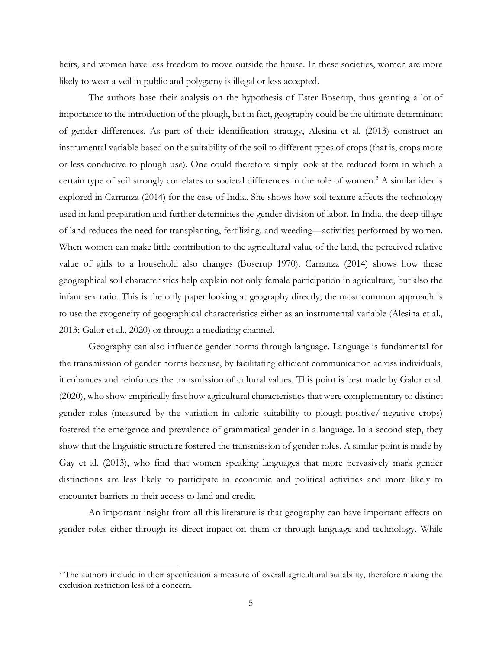heirs, and women have less freedom to move outside the house. In these societies, women are more likely to wear a veil in public and polygamy is illegal or less accepted.

The authors base their analysis on the hypothesis of Ester Boserup, thus granting a lot of importance to the introduction of the plough, but in fact, geography could be the ultimate determinant of gender differences. As part of their identification strategy, Alesina et al. (2013) construct an instrumental variable based on the suitability of the soil to different types of crops (that is, crops more or less conducive to plough use). One could therefore simply look at the reduced form in which a certain type of soil strongly correlates to societal differences in the role of women. [3](#page-6-0) A similar idea is explored in Carranza (2014) for the case of India. She shows how soil texture affects the technology used in land preparation and further determines the gender division of labor. In India, the deep tillage of land reduces the need for transplanting, fertilizing, and weeding—activities performed by women. When women can make little contribution to the agricultural value of the land, the perceived relative value of girls to a household also changes (Boserup 1970). Carranza (2014) shows how these geographical soil characteristics help explain not only female participation in agriculture, but also the infant sex ratio. This is the only paper looking at geography directly; the most common approach is to use the exogeneity of geographical characteristics either as an instrumental variable (Alesina et al., 2013; Galor et al., 2020) or through a mediating channel.

Geography can also influence gender norms through language. Language is fundamental for the transmission of gender norms because, by facilitating efficient communication across individuals, it enhances and reinforces the transmission of cultural values. This point is best made by Galor et al. (2020), who show empirically first how agricultural characteristics that were complementary to distinct gender roles (measured by the variation in caloric suitability to plough-positive/-negative crops) fostered the emergence and prevalence of grammatical gender in a language. In a second step, they show that the linguistic structure fostered the transmission of gender roles. A similar point is made by Gay et al. (2013), who find that women speaking languages that more pervasively mark gender distinctions are less likely to participate in economic and political activities and more likely to encounter barriers in their access to land and credit.

An important insight from all this literature is that geography can have important effects on gender roles either through its direct impact on them or through language and technology. While

<span id="page-6-0"></span><sup>&</sup>lt;sup>3</sup> The authors include in their specification a measure of overall agricultural suitability, therefore making the exclusion restriction less of a concern.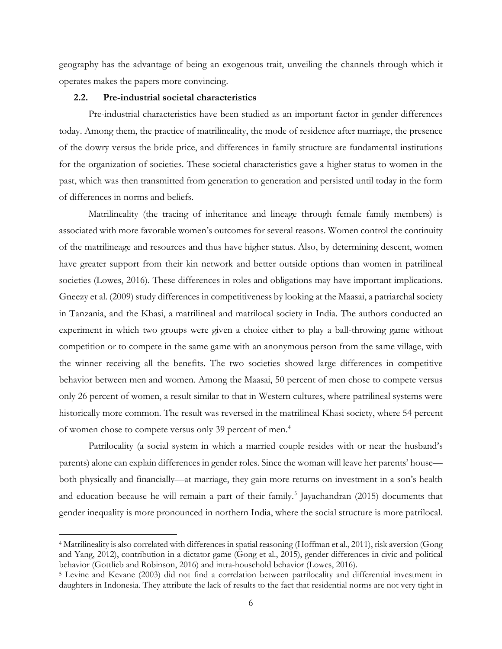geography has the advantage of being an exogenous trait, unveiling the channels through which it operates makes the papers more convincing.

#### **2.2. Pre-industrial societal characteristics**

l

Pre-industrial characteristics have been studied as an important factor in gender differences today. Among them, the practice of matrilineality, the mode of residence after marriage, the presence of the dowry versus the bride price, and differences in family structure are fundamental institutions for the organization of societies. These societal characteristics gave a higher status to women in the past, which was then transmitted from generation to generation and persisted until today in the form of differences in norms and beliefs.

Matrilineality (the tracing of inheritance and lineage through female family members) is associated with more favorable women's outcomes for several reasons. Women control the continuity of the matrilineage and resources and thus have higher status. Also, by determining descent, women have greater support from their kin network and better outside options than women in patrilineal societies (Lowes, 2016). These differences in roles and obligations may have important implications. Gneezy et al. (2009) study differences in competitiveness by looking at the Maasai, a patriarchal society in Tanzania, and the Khasi, a matrilineal and matrilocal society in India. The authors conducted an experiment in which two groups were given a choice either to play a ball-throwing game without competition or to compete in the same game with an anonymous person from the same village, with the winner receiving all the benefits. The two societies showed large differences in competitive behavior between men and women. Among the Maasai, 50 percent of men chose to compete versus only 26 percent of women, a result similar to that in Western cultures, where patrilineal systems were historically more common. The result was reversed in the matrilineal Khasi society, where 54 percent of women chose to compete versus only 39 percent of men.<sup>[4](#page-7-0)</sup>

Patrilocality (a social system in which a married couple resides with or near the husband's parents) alone can explain differences in gender roles. Since the woman will leave her parents' house both physically and financially—at marriage, they gain more returns on investment in a son's health and education because he will remain a part of their family.<sup>[5](#page-7-1)</sup> Jayachandran (2015) documents that gender inequality is more pronounced in northern India, where the social structure is more patrilocal.

<span id="page-7-0"></span><sup>4</sup> Matrilineality is also correlated with differences in spatial reasoning (Hoffman et al., 2011), risk aversion (Gong and Yang, 2012), contribution in a dictator game (Gong et al., 2015), gender differences in civic and political behavior (Gottlieb and Robinson, 2016) and intra-household behavior (Lowes, 2016).

<span id="page-7-1"></span><sup>5</sup> Levine and Kevane (2003) did not find a correlation between patrilocality and differential investment in daughters in Indonesia. They attribute the lack of results to the fact that residential norms are not very tight in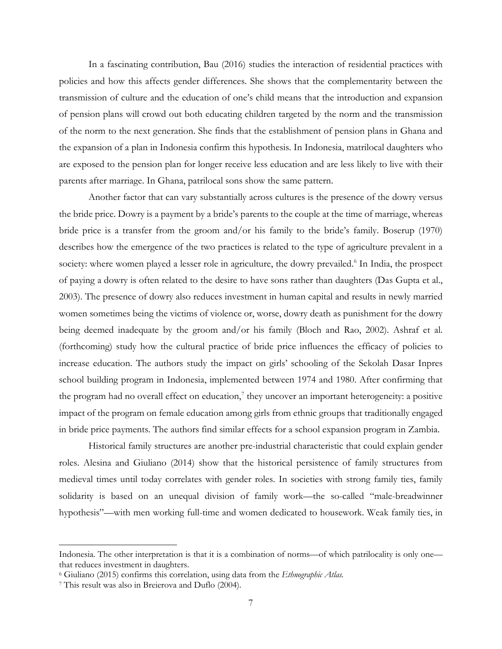In a fascinating contribution, Bau (2016) studies the interaction of residential practices with policies and how this affects gender differences. She shows that the complementarity between the transmission of culture and the education of one's child means that the introduction and expansion of pension plans will crowd out both educating children targeted by the norm and the transmission of the norm to the next generation. She finds that the establishment of pension plans in Ghana and the expansion of a plan in Indonesia confirm this hypothesis. In Indonesia, matrilocal daughters who are exposed to the pension plan for longer receive less education and are less likely to live with their parents after marriage. In Ghana, patrilocal sons show the same pattern.

Another factor that can vary substantially across cultures is the presence of the dowry versus the bride price. Dowry is a payment by a bride's parents to the couple at the time of marriage, whereas bride price is a transfer from the groom and/or his family to the bride's family. Boserup (1970) describes how the emergence of the two practices is related to the type of agriculture prevalent in a society: where women played a lesser role in agriculture, the dowry prevailed.<sup>[6](#page-8-0)</sup> In India, the prospect of paying a dowry is often related to the desire to have sons rather than daughters (Das Gupta et al., 2003). The presence of dowry also reduces investment in human capital and results in newly married women sometimes being the victims of violence or, worse, dowry death as punishment for the dowry being deemed inadequate by the groom and/or his family (Bloch and Rao, 2002). Ashraf et al. (forthcoming) study how the cultural practice of bride price influences the efficacy of policies to increase education. The authors study the impact on girls' schooling of the Sekolah Dasar Inpres school building program in Indonesia, implemented between 1974 and 1980. After confirming that the program had no overall effect on education, $\tau$  they uncover an important heterogeneity: a positive impact of the program on female education among girls from ethnic groups that traditionally engaged in bride price payments. The authors find similar effects for a school expansion program in Zambia.

Historical family structures are another pre-industrial characteristic that could explain gender roles. Alesina and Giuliano (2014) show that the historical persistence of family structures from medieval times until today correlates with gender roles. In societies with strong family ties, family solidarity is based on an unequal division of family work—the so-called "male-breadwinner hypothesis"—with men working full-time and women dedicated to housework. Weak family ties, in

Indonesia. The other interpretation is that it is a combination of norms—of which patrilocality is only one that reduces investment in daughters.

<span id="page-8-0"></span><sup>6</sup> Giuliano (2015) confirms this correlation, using data from the *Ethnographic Atlas.*

<span id="page-8-1"></span><sup>7</sup> This result was also in Breierova and Duflo (2004).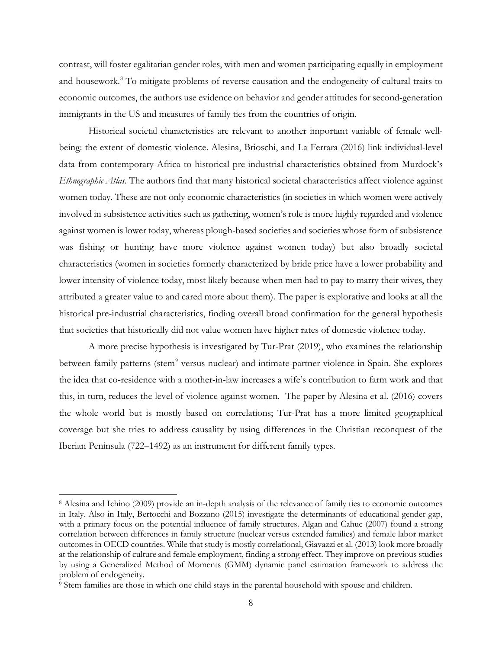contrast, will foster egalitarian gender roles, with men and women participating equally in employment and housework.<sup>[8](#page-9-0)</sup> To mitigate problems of reverse causation and the endogeneity of cultural traits to economic outcomes, the authors use evidence on behavior and gender attitudes for second-generation immigrants in the US and measures of family ties from the countries of origin.

Historical societal characteristics are relevant to another important variable of female wellbeing: the extent of domestic violence. Alesina, Brioschi, and La Ferrara (2016) link individual-level data from contemporary Africa to historical pre-industrial characteristics obtained from Murdock's *Ethnographic Atlas.* The authors find that many historical societal characteristics affect violence against women today. These are not only economic characteristics (in societies in which women were actively involved in subsistence activities such as gathering, women's role is more highly regarded and violence against women is lower today, whereas plough-based societies and societies whose form of subsistence was fishing or hunting have more violence against women today) but also broadly societal characteristics (women in societies formerly characterized by bride price have a lower probability and lower intensity of violence today, most likely because when men had to pay to marry their wives, they attributed a greater value to and cared more about them). The paper is explorative and looks at all the historical pre-industrial characteristics, finding overall broad confirmation for the general hypothesis that societies that historically did not value women have higher rates of domestic violence today.

A more precise hypothesis is investigated by Tur-Prat (2019), who examines the relationship between family patterns (stem<sup>[9](#page-9-1)</sup> versus nuclear) and intimate-partner violence in Spain. She explores the idea that co-residence with a mother-in-law increases a wife's contribution to farm work and that this, in turn, reduces the level of violence against women. The paper by Alesina et al. (2016) covers the whole world but is mostly based on correlations; Tur-Prat has a more limited geographical coverage but she tries to address causality by using differences in the Christian reconquest of the Iberian Peninsula (722–1492) as an instrument for different family types.

<span id="page-9-0"></span><sup>8</sup> Alesina and Ichino (2009) provide an in-depth analysis of the relevance of family ties to economic outcomes in Italy. Also in Italy, Bertocchi and Bozzano (2015) investigate the determinants of educational gender gap, with a primary focus on the potential influence of family structures. Algan and Cahuc (2007) found a strong correlation between differences in family structure (nuclear versus extended families) and female labor market outcomes in OECD countries. While that study is mostly correlational, Giavazzi et al. (2013) look more broadly at the relationship of culture and female employment, finding a strong effect. They improve on previous studies by using a Generalized Method of Moments (GMM) dynamic panel estimation framework to address the problem of endogeneity.

<span id="page-9-1"></span><sup>9</sup> Stem families are those in which one child stays in the parental household with spouse and children.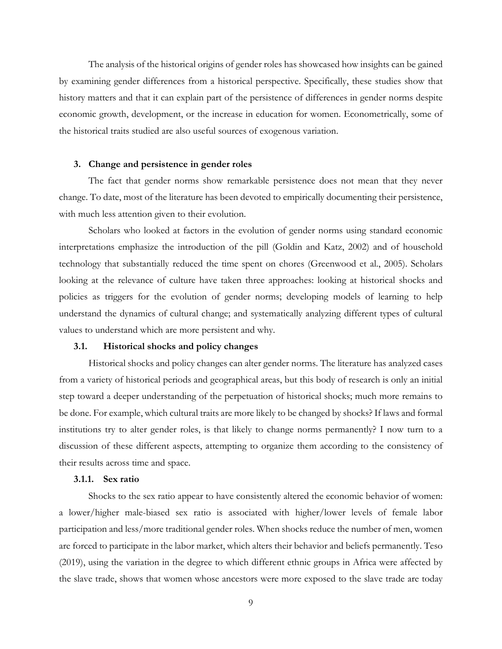The analysis of the historical origins of gender roles has showcased how insights can be gained by examining gender differences from a historical perspective. Specifically, these studies show that history matters and that it can explain part of the persistence of differences in gender norms despite economic growth, development, or the increase in education for women. Econometrically, some of the historical traits studied are also useful sources of exogenous variation.

#### **3. Change and persistence in gender roles**

The fact that gender norms show remarkable persistence does not mean that they never change. To date, most of the literature has been devoted to empirically documenting their persistence, with much less attention given to their evolution.

Scholars who looked at factors in the evolution of gender norms using standard economic interpretations emphasize the introduction of the pill (Goldin and Katz, 2002) and of household technology that substantially reduced the time spent on chores (Greenwood et al., 2005). Scholars looking at the relevance of culture have taken three approaches: looking at historical shocks and policies as triggers for the evolution of gender norms; developing models of learning to help understand the dynamics of cultural change; and systematically analyzing different types of cultural values to understand which are more persistent and why.

## **3.1. Historical shocks and policy changes**

Historical shocks and policy changes can alter gender norms. The literature has analyzed cases from a variety of historical periods and geographical areas, but this body of research is only an initial step toward a deeper understanding of the perpetuation of historical shocks; much more remains to be done. For example, which cultural traits are more likely to be changed by shocks? If laws and formal institutions try to alter gender roles, is that likely to change norms permanently? I now turn to a discussion of these different aspects, attempting to organize them according to the consistency of their results across time and space.

#### **3.1.1. Sex ratio**

Shocks to the sex ratio appear to have consistently altered the economic behavior of women: a lower/higher male-biased sex ratio is associated with higher/lower levels of female labor participation and less/more traditional gender roles. When shocks reduce the number of men, women are forced to participate in the labor market, which alters their behavior and beliefs permanently. Teso (2019), using the variation in the degree to which different ethnic groups in Africa were affected by the slave trade, shows that women whose ancestors were more exposed to the slave trade are today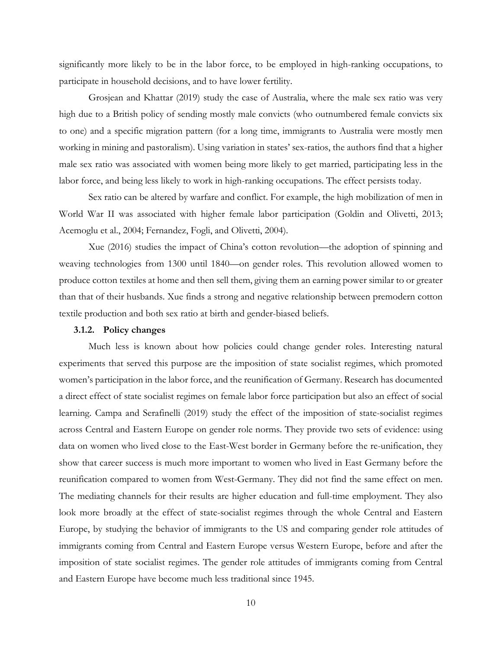significantly more likely to be in the labor force, to be employed in high-ranking occupations, to participate in household decisions, and to have lower fertility.

Grosjean and Khattar (2019) study the case of Australia, where the male sex ratio was very high due to a British policy of sending mostly male convicts (who outnumbered female convicts six to one) and a specific migration pattern (for a long time, immigrants to Australia were mostly men working in mining and pastoralism). Using variation in states' sex-ratios, the authors find that a higher male sex ratio was associated with women being more likely to get married, participating less in the labor force, and being less likely to work in high-ranking occupations. The effect persists today.

Sex ratio can be altered by warfare and conflict. For example, the high mobilization of men in World War II was associated with higher female labor participation (Goldin and Olivetti, 2013; Acemoglu et al., 2004; Fernandez, Fogli, and Olivetti, 2004).

Xue (2016) studies the impact of China's cotton revolution—the adoption of spinning and weaving technologies from 1300 until 1840—on gender roles. This revolution allowed women to produce cotton textiles at home and then sell them, giving them an earning power similar to or greater than that of their husbands. Xue finds a strong and negative relationship between premodern cotton textile production and both sex ratio at birth and gender-biased beliefs.

#### **3.1.2. Policy changes**

Much less is known about how policies could change gender roles. Interesting natural experiments that served this purpose are the imposition of state socialist regimes, which promoted women's participation in the labor force, and the reunification of Germany. Research has documented a direct effect of state socialist regimes on female labor force participation but also an effect of social learning. Campa and Serafinelli (2019) study the effect of the imposition of state-socialist regimes across Central and Eastern Europe on gender role norms. They provide two sets of evidence: using data on women who lived close to the East-West border in Germany before the re-unification, they show that career success is much more important to women who lived in East Germany before the reunification compared to women from West-Germany. They did not find the same effect on men. The mediating channels for their results are higher education and full-time employment. They also look more broadly at the effect of state-socialist regimes through the whole Central and Eastern Europe, by studying the behavior of immigrants to the US and comparing gender role attitudes of immigrants coming from Central and Eastern Europe versus Western Europe, before and after the imposition of state socialist regimes. The gender role attitudes of immigrants coming from Central and Eastern Europe have become much less traditional since 1945.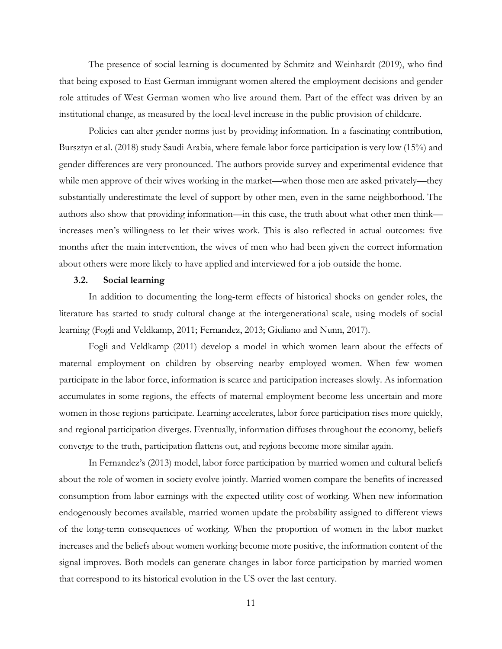The presence of social learning is documented by Schmitz and Weinhardt (2019), who find that being exposed to East German immigrant women altered the employment decisions and gender role attitudes of West German women who live around them. Part of the effect was driven by an institutional change, as measured by the local-level increase in the public provision of childcare.

Policies can alter gender norms just by providing information. In a fascinating contribution, Bursztyn et al. (2018) study Saudi Arabia, where female labor force participation is very low (15%) and gender differences are very pronounced. The authors provide survey and experimental evidence that while men approve of their wives working in the market—when those men are asked privately—they substantially underestimate the level of support by other men, even in the same neighborhood. The authors also show that providing information—in this case, the truth about what other men think increases men's willingness to let their wives work. This is also reflected in actual outcomes: five months after the main intervention, the wives of men who had been given the correct information about others were more likely to have applied and interviewed for a job outside the home.

#### **3.2. Social learning**

In addition to documenting the long-term effects of historical shocks on gender roles, the literature has started to study cultural change at the intergenerational scale, using models of social learning (Fogli and Veldkamp, 2011; Fernandez, 2013; Giuliano and Nunn, 2017).

Fogli and Veldkamp (2011) develop a model in which women learn about the effects of maternal employment on children by observing nearby employed women. When few women participate in the labor force, information is scarce and participation increases slowly. As information accumulates in some regions, the effects of maternal employment become less uncertain and more women in those regions participate. Learning accelerates, labor force participation rises more quickly, and regional participation diverges. Eventually, information diffuses throughout the economy, beliefs converge to the truth, participation flattens out, and regions become more similar again.

In Fernandez's (2013) model, labor force participation by married women and cultural beliefs about the role of women in society evolve jointly. Married women compare the benefits of increased consumption from labor earnings with the expected utility cost of working. When new information endogenously becomes available, married women update the probability assigned to different views of the long-term consequences of working. When the proportion of women in the labor market increases and the beliefs about women working become more positive, the information content of the signal improves. Both models can generate changes in labor force participation by married women that correspond to its historical evolution in the US over the last century.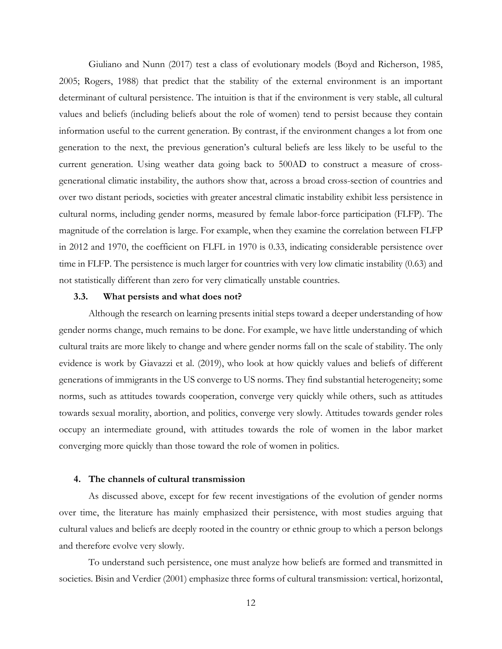Giuliano and Nunn (2017) test a class of evolutionary models (Boyd and Richerson, 1985, 2005; Rogers, 1988) that predict that the stability of the external environment is an important determinant of cultural persistence. The intuition is that if the environment is very stable, all cultural values and beliefs (including beliefs about the role of women) tend to persist because they contain information useful to the current generation. By contrast, if the environment changes a lot from one generation to the next, the previous generation's cultural beliefs are less likely to be useful to the current generation. Using weather data going back to 500AD to construct a measure of crossgenerational climatic instability, the authors show that, across a broad cross-section of countries and over two distant periods, societies with greater ancestral climatic instability exhibit less persistence in cultural norms, including gender norms, measured by female labor-force participation (FLFP). The magnitude of the correlation is large. For example, when they examine the correlation between FLFP in 2012 and 1970, the coefficient on FLFL in 1970 is 0.33, indicating considerable persistence over time in FLFP. The persistence is much larger for countries with very low climatic instability (0.63) and not statistically different than zero for very climatically unstable countries.

### **3.3. What persists and what does not?**

Although the research on learning presents initial steps toward a deeper understanding of how gender norms change, much remains to be done. For example, we have little understanding of which cultural traits are more likely to change and where gender norms fall on the scale of stability. The only evidence is work by Giavazzi et al. (2019), who look at how quickly values and beliefs of different generations of immigrants in the US converge to US norms. They find substantial heterogeneity; some norms, such as attitudes towards cooperation, converge very quickly while others, such as attitudes towards sexual morality, abortion, and politics, converge very slowly. Attitudes towards gender roles occupy an intermediate ground, with attitudes towards the role of women in the labor market converging more quickly than those toward the role of women in politics.

#### **4. The channels of cultural transmission**

As discussed above, except for few recent investigations of the evolution of gender norms over time, the literature has mainly emphasized their persistence, with most studies arguing that cultural values and beliefs are deeply rooted in the country or ethnic group to which a person belongs and therefore evolve very slowly.

To understand such persistence, one must analyze how beliefs are formed and transmitted in societies. Bisin and Verdier (2001) emphasize three forms of cultural transmission: vertical, horizontal,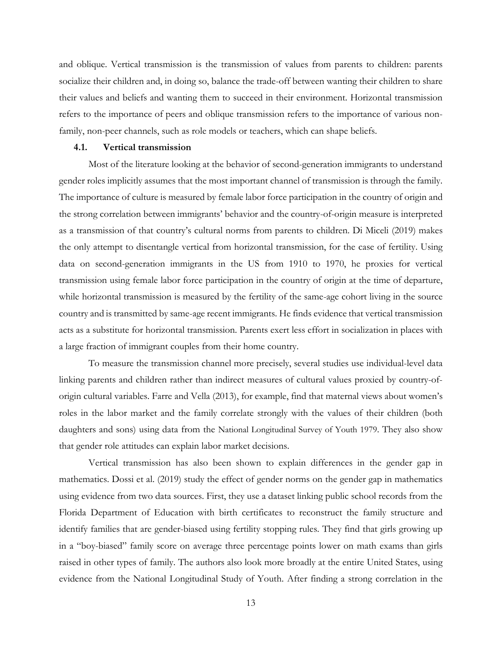and oblique. Vertical transmission is the transmission of values from parents to children: parents socialize their children and, in doing so, balance the trade-off between wanting their children to share their values and beliefs and wanting them to succeed in their environment. Horizontal transmission refers to the importance of peers and oblique transmission refers to the importance of various nonfamily, non-peer channels, such as role models or teachers, which can shape beliefs.

#### **4.1. Vertical transmission**

Most of the literature looking at the behavior of second-generation immigrants to understand gender roles implicitly assumes that the most important channel of transmission is through the family. The importance of culture is measured by female labor force participation in the country of origin and the strong correlation between immigrants' behavior and the country-of-origin measure is interpreted as a transmission of that country's cultural norms from parents to children. Di Miceli (2019) makes the only attempt to disentangle vertical from horizontal transmission, for the case of fertility. Using data on second-generation immigrants in the US from 1910 to 1970, he proxies for vertical transmission using female labor force participation in the country of origin at the time of departure, while horizontal transmission is measured by the fertility of the same-age cohort living in the source country and is transmitted by same-age recent immigrants. He finds evidence that vertical transmission acts as a substitute for horizontal transmission. Parents exert less effort in socialization in places with a large fraction of immigrant couples from their home country.

To measure the transmission channel more precisely, several studies use individual-level data linking parents and children rather than indirect measures of cultural values proxied by country-oforigin cultural variables. Farre and Vella (2013), for example, find that maternal views about women's roles in the labor market and the family correlate strongly with the values of their children (both daughters and sons) using data from the National Longitudinal Survey of Youth 1979. They also show that gender role attitudes can explain labor market decisions.

Vertical transmission has also been shown to explain differences in the gender gap in mathematics. Dossi et al. (2019) study the effect of gender norms on the gender gap in mathematics using evidence from two data sources. First, they use a dataset linking public school records from the Florida Department of Education with birth certificates to reconstruct the family structure and identify families that are gender-biased using fertility stopping rules. They find that girls growing up in a "boy-biased" family score on average three percentage points lower on math exams than girls raised in other types of family. The authors also look more broadly at the entire United States, using evidence from the National Longitudinal Study of Youth. After finding a strong correlation in the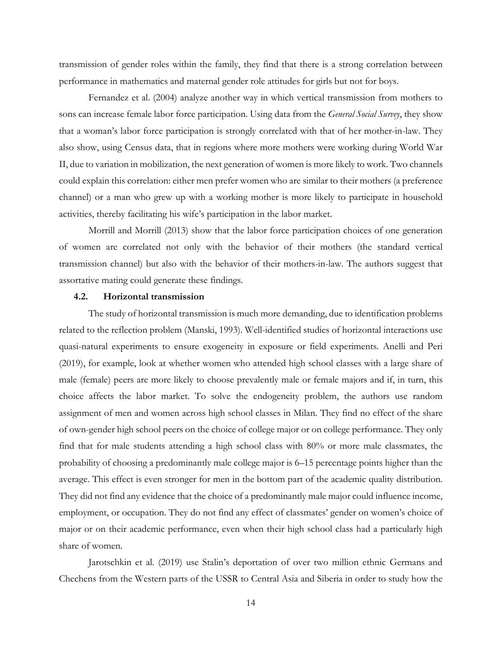transmission of gender roles within the family, they find that there is a strong correlation between performance in mathematics and maternal gender role attitudes for girls but not for boys.

Fernandez et al. (2004) analyze another way in which vertical transmission from mothers to sons can increase female labor force participation. Using data from the *General Social Survey*, they show that a woman's labor force participation is strongly correlated with that of her mother-in-law. They also show, using Census data, that in regions where more mothers were working during World War II, due to variation in mobilization, the next generation of women is more likely to work. Two channels could explain this correlation: either men prefer women who are similar to their mothers (a preference channel) or a man who grew up with a working mother is more likely to participate in household activities, thereby facilitating his wife's participation in the labor market.

Morrill and Morrill (2013) show that the labor force participation choices of one generation of women are correlated not only with the behavior of their mothers (the standard vertical transmission channel) but also with the behavior of their mothers-in-law. The authors suggest that assortative mating could generate these findings.

## **4.2. Horizontal transmission**

The study of horizontal transmission is much more demanding, due to identification problems related to the reflection problem (Manski, 1993). Well-identified studies of horizontal interactions use quasi-natural experiments to ensure exogeneity in exposure or field experiments. Anelli and Peri (2019), for example, look at whether women who attended high school classes with a large share of male (female) peers are more likely to choose prevalently male or female majors and if, in turn, this choice affects the labor market. To solve the endogeneity problem, the authors use random assignment of men and women across high school classes in Milan. They find no effect of the share of own-gender high school peers on the choice of college major or on college performance. They only find that for male students attending a high school class with 80% or more male classmates, the probability of choosing a predominantly male college major is 6–15 percentage points higher than the average. This effect is even stronger for men in the bottom part of the academic quality distribution. They did not find any evidence that the choice of a predominantly male major could influence income, employment, or occupation. They do not find any effect of classmates' gender on women's choice of major or on their academic performance, even when their high school class had a particularly high share of women.

Jarotschkin et al. (2019) use Stalin's deportation of over two million ethnic Germans and Chechens from the Western parts of the USSR to Central Asia and Siberia in order to study how the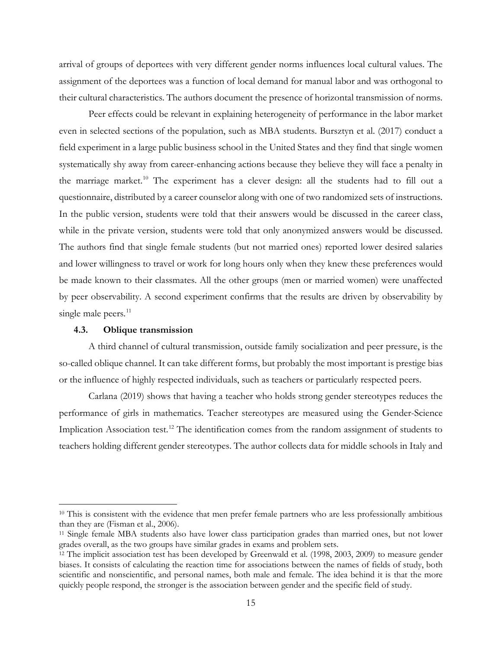arrival of groups of deportees with very different gender norms influences local cultural values. The assignment of the deportees was a function of local demand for manual labor and was orthogonal to their cultural characteristics. The authors document the presence of horizontal transmission of norms.

Peer effects could be relevant in explaining heterogeneity of performance in the labor market even in selected sections of the population, such as MBA students. Bursztyn et al. (2017) conduct a field experiment in a large public business school in the United States and they find that single women systematically shy away from career-enhancing actions because they believe they will face a penalty in the marriage market.<sup>[10](#page-16-0)</sup> The experiment has a clever design: all the students had to fill out a questionnaire, distributed by a career counselor along with one of two randomized sets of instructions. In the public version, students were told that their answers would be discussed in the career class, while in the private version, students were told that only anonymized answers would be discussed. The authors find that single female students (but not married ones) reported lower desired salaries and lower willingness to travel or work for long hours only when they knew these preferences would be made known to their classmates. All the other groups (men or married women) were unaffected by peer observability. A second experiment confirms that the results are driven by observability by single male peers.<sup>[11](#page-16-1)</sup>

## **4.3. Oblique transmission**

 $\overline{\phantom{a}}$ 

A third channel of cultural transmission, outside family socialization and peer pressure, is the so-called oblique channel. It can take different forms, but probably the most important is prestige bias or the influence of highly respected individuals, such as teachers or particularly respected peers.

Carlana (2019) shows that having a teacher who holds strong gender stereotypes reduces the performance of girls in mathematics. Teacher stereotypes are measured using the Gender-Science Implication Association test.<sup>[12](#page-16-2)</sup> The identification comes from the random assignment of students to teachers holding different gender stereotypes. The author collects data for middle schools in Italy and

<span id="page-16-0"></span><sup>&</sup>lt;sup>10</sup> This is consistent with the evidence that men prefer female partners who are less professionally ambitious than they are (Fisman et al., 2006).

<span id="page-16-1"></span><sup>&</sup>lt;sup>11</sup> Single female MBA students also have lower class participation grades than married ones, but not lower grades overall, as the two groups have similar grades in exams and problem sets.

<span id="page-16-2"></span><sup>&</sup>lt;sup>12</sup> The implicit association test has been developed by Greenwald et al. (1998, 2003, 2009) to measure gender biases. It consists of calculating the reaction time for associations between the names of fields of study, both scientific and nonscientific, and personal names, both male and female. The idea behind it is that the more quickly people respond, the stronger is the association between gender and the specific field of study.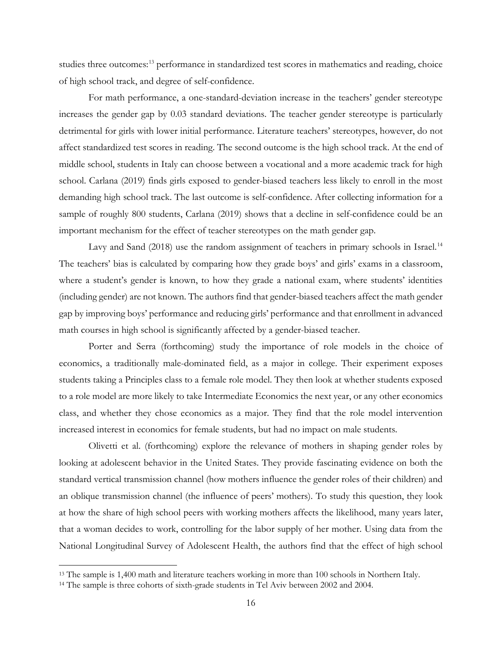studies three outcomes:<sup>[13](#page-17-0)</sup> performance in standardized test scores in mathematics and reading, choice of high school track, and degree of self-confidence.

For math performance, a one-standard-deviation increase in the teachers' gender stereotype increases the gender gap by 0.03 standard deviations. The teacher gender stereotype is particularly detrimental for girls with lower initial performance. Literature teachers' stereotypes, however, do not affect standardized test scores in reading. The second outcome is the high school track. At the end of middle school, students in Italy can choose between a vocational and a more academic track for high school. Carlana (2019) finds girls exposed to gender-biased teachers less likely to enroll in the most demanding high school track. The last outcome is self-confidence. After collecting information for a sample of roughly 800 students, Carlana (2019) shows that a decline in self-confidence could be an important mechanism for the effect of teacher stereotypes on the math gender gap.

Lavy and Sand (2018) use the random assignment of teachers in primary schools in Israel.<sup>[14](#page-17-1)</sup> The teachers' bias is calculated by comparing how they grade boys' and girls' exams in a classroom, where a student's gender is known, to how they grade a national exam, where students' identities (including gender) are not known. The authors find that gender-biased teachers affect the math gender gap by improving boys' performance and reducing girls' performance and that enrollment in advanced math courses in high school is significantly affected by a gender-biased teacher.

Porter and Serra (forthcoming) study the importance of role models in the choice of economics, a traditionally male-dominated field, as a major in college. Their experiment exposes students taking a Principles class to a female role model. They then look at whether students exposed to a role model are more likely to take Intermediate Economics the next year, or any other economics class, and whether they chose economics as a major. They find that the role model intervention increased interest in economics for female students, but had no impact on male students.

Olivetti et al. (forthcoming) explore the relevance of mothers in shaping gender roles by looking at adolescent behavior in the United States. They provide fascinating evidence on both the standard vertical transmission channel (how mothers influence the gender roles of their children) and an oblique transmission channel (the influence of peers' mothers). To study this question, they look at how the share of high school peers with working mothers affects the likelihood, many years later, that a woman decides to work, controlling for the labor supply of her mother. Using data from the National Longitudinal Survey of Adolescent Health, the authors find that the effect of high school

<span id="page-17-0"></span><sup>&</sup>lt;sup>13</sup> The sample is 1,400 math and literature teachers working in more than 100 schools in Northern Italy.

<span id="page-17-1"></span><sup>14</sup> The sample is three cohorts of sixth-grade students in Tel Aviv between 2002 and 2004.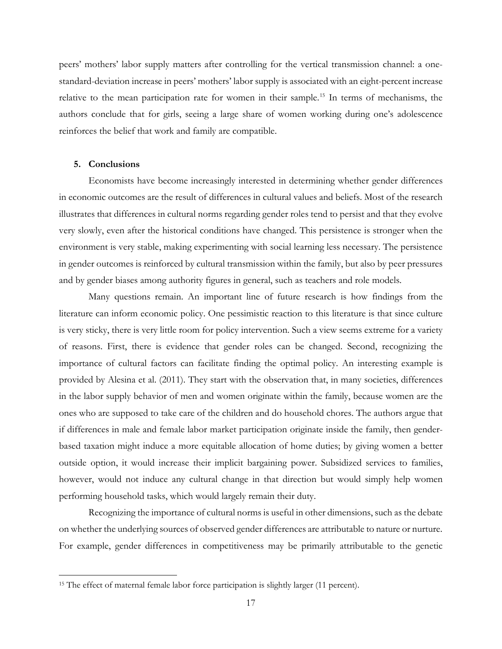peers' mothers' labor supply matters after controlling for the vertical transmission channel: a onestandard-deviation increase in peers' mothers' labor supply is associated with an eight-percent increase relative to the mean participation rate for women in their sample.<sup>[15](#page-18-0)</sup> In terms of mechanisms, the authors conclude that for girls, seeing a large share of women working during one's adolescence reinforces the belief that work and family are compatible.

#### **5. Conclusions**

 $\overline{\phantom{a}}$ 

Economists have become increasingly interested in determining whether gender differences in economic outcomes are the result of differences in cultural values and beliefs. Most of the research illustrates that differences in cultural norms regarding gender roles tend to persist and that they evolve very slowly, even after the historical conditions have changed. This persistence is stronger when the environment is very stable, making experimenting with social learning less necessary. The persistence in gender outcomes is reinforced by cultural transmission within the family, but also by peer pressures and by gender biases among authority figures in general, such as teachers and role models.

Many questions remain. An important line of future research is how findings from the literature can inform economic policy. One pessimistic reaction to this literature is that since culture is very sticky, there is very little room for policy intervention. Such a view seems extreme for a variety of reasons. First, there is evidence that gender roles can be changed. Second, recognizing the importance of cultural factors can facilitate finding the optimal policy. An interesting example is provided by Alesina et al. (2011). They start with the observation that, in many societies, differences in the labor supply behavior of men and women originate within the family, because women are the ones who are supposed to take care of the children and do household chores. The authors argue that if differences in male and female labor market participation originate inside the family, then genderbased taxation might induce a more equitable allocation of home duties; by giving women a better outside option, it would increase their implicit bargaining power. Subsidized services to families, however, would not induce any cultural change in that direction but would simply help women performing household tasks, which would largely remain their duty.

Recognizing the importance of cultural norms is useful in other dimensions, such as the debate on whether the underlying sources of observed gender differences are attributable to nature or nurture. For example, gender differences in competitiveness may be primarily attributable to the genetic

<span id="page-18-0"></span><sup>&</sup>lt;sup>15</sup> The effect of maternal female labor force participation is slightly larger (11 percent).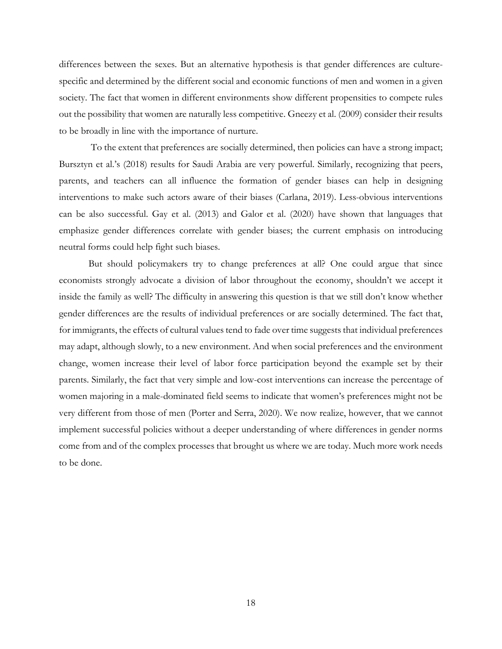differences between the sexes. But an alternative hypothesis is that gender differences are culturespecific and determined by the different social and economic functions of men and women in a given society. The fact that women in different environments show different propensities to compete rules out the possibility that women are naturally less competitive. Gneezy et al. (2009) consider their results to be broadly in line with the importance of nurture.

To the extent that preferences are socially determined, then policies can have a strong impact; Bursztyn et al.'s (2018) results for Saudi Arabia are very powerful. Similarly, recognizing that peers, parents, and teachers can all influence the formation of gender biases can help in designing interventions to make such actors aware of their biases (Carlana, 2019). Less-obvious interventions can be also successful. Gay et al. (2013) and Galor et al. (2020) have shown that languages that emphasize gender differences correlate with gender biases; the current emphasis on introducing neutral forms could help fight such biases.

But should policymakers try to change preferences at all? One could argue that since economists strongly advocate a division of labor throughout the economy, shouldn't we accept it inside the family as well? The difficulty in answering this question is that we still don't know whether gender differences are the results of individual preferences or are socially determined. The fact that, for immigrants, the effects of cultural values tend to fade over time suggests that individual preferences may adapt, although slowly, to a new environment. And when social preferences and the environment change, women increase their level of labor force participation beyond the example set by their parents. Similarly, the fact that very simple and low-cost interventions can increase the percentage of women majoring in a male-dominated field seems to indicate that women's preferences might not be very different from those of men (Porter and Serra, 2020). We now realize, however, that we cannot implement successful policies without a deeper understanding of where differences in gender norms come from and of the complex processes that brought us where we are today. Much more work needs to be done.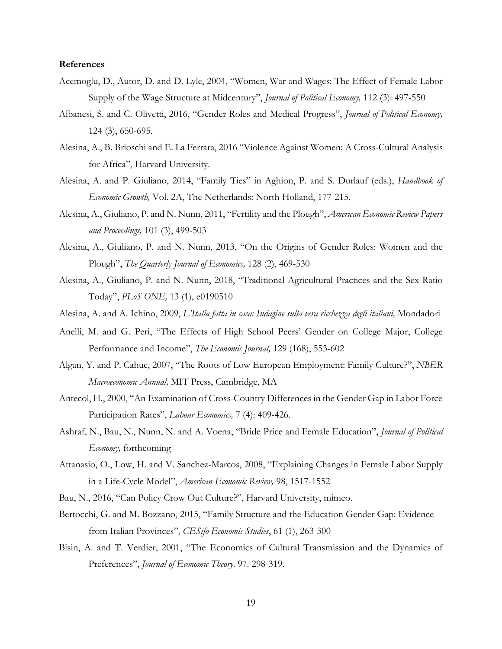#### **References**

- Acemoglu, D., Autor, D. and D. Lyle, 2004, "Women, War and Wages: The Effect of Female Labor Supply of the Wage Structure at Midcentury", *Journal of Political Economy,* 112 (3): 497-550
- Albanesi, S. and C. Olivetti, 2016, "Gender Roles and Medical Progress", *Journal of Political Economy,*  124 (3), 650-695.
- Alesina, A., B. Brioschi and E. La Ferrara, 2016 "Violence Against Women: A Cross-Cultural Analysis for Africa", Harvard University.
- Alesina, A. and P. Giuliano, 2014, "Family Ties" in Aghion, P. and S. Durlauf (eds.), *Handbook of Economic Growth,* Vol. 2A, The Netherlands: North Holland, 177-215.
- Alesina, A., Giuliano, P. and N. Nunn, 2011, "Fertility and the Plough", *American Economic Review Papers and Proceedings,* 101 (3), 499-503
- Alesina, A., Giuliano, P. and N. Nunn, 2013, "On the Origins of Gender Roles: Women and the Plough", *The Quarterly Journal of Economics,* 128 (2), 469-530
- Alesina, A., Giuliano, P. and N. Nunn, 2018, "Traditional Agricultural Practices and the Sex Ratio Today", *PLoS ONE,* 13 (1), e0190510
- Alesina, A. and A. Ichino, 2009, *L'Italia fatta in casa: Indagine sulla vera ricchezza degli italiani,* Mondadori
- Anelli, M. and G. Peri, "The Effects of High School Peers' Gender on College Major, College Performance and Income", *The Economic Journal,* 129 (168), 553-602
- Algan, Y. and P. Cahuc, 2007, "The Roots of Low European Employment: Family Culture?", *NBER Macroeconomic Annual,* MIT Press, Cambridge, MA
- Antecol, H., 2000, "An Examination of Cross-Country Differences in the Gender Gap in Labor Force Participation Rates", *Labour Economics,* 7 (4): 409-426.
- Ashraf, N., Bau, N., Nunn, N. and A. Voena, "Bride Price and Female Education", *Journal of Political Economy,* forthcoming
- Attanasio, O., Low, H. and V. Sanchez-Marcos, 2008, "Explaining Changes in Female Labor Supply in a Life-Cycle Model", *American Economic Review,* 98, 1517-1552
- Bau, N., 2016, "Can Policy Crow Out Culture?", Harvard University, mimeo.
- Bertocchi, G. and M. Bozzano, 2015, "Family Structure and the Education Gender Gap: Evidence from Italian Provinces", *CESifo Economic Studies*, 61 (1), 263-300
- Bisin, A. and T. Verdier, 2001, "The Economics of Cultural Transmission and the Dynamics of Preferences", *Journal of Economic Theory,* 97. 298-319.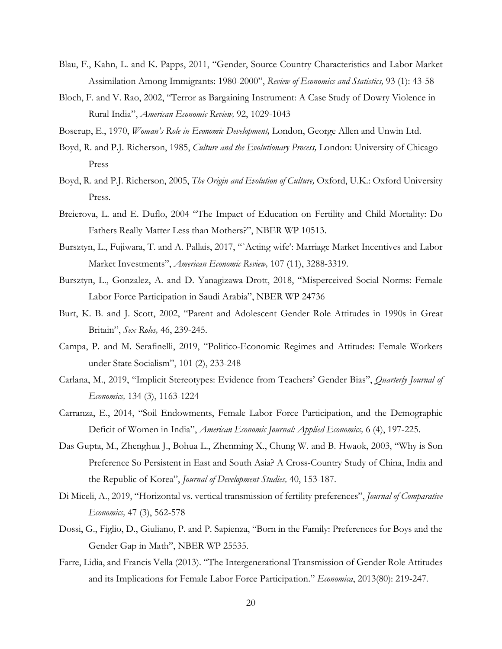- Blau, F., Kahn, L. and K. Papps, 2011, "Gender, Source Country Characteristics and Labor Market Assimilation Among Immigrants: 1980-2000", *Review of Economics and Statistics,* 93 (1): 43-58
- Bloch, F. and V. Rao, 2002, "Terror as Bargaining Instrument: A Case Study of Dowry Violence in Rural India", *American Economic Review,* 92, 1029-1043

Boserup, E., 1970, *Woman's Role in Economic Development,* London, George Allen and Unwin Ltd.

- Boyd, R. and P.J. Richerson, 1985, *Culture and the Evolutionary Process,* London: University of Chicago Press
- Boyd, R. and P.J. Richerson, 2005, *The Origin and Evolution of Culture,* Oxford, U.K.: Oxford University Press.
- Breierova, L. and E. Duflo, 2004 "The Impact of Education on Fertility and Child Mortality: Do Fathers Really Matter Less than Mothers?", NBER WP 10513.
- Bursztyn, L., Fujiwara, T. and A. Pallais, 2017, "`Acting wife': Marriage Market Incentives and Labor Market Investments", *American Economic Review,* 107 (11), 3288-3319.
- Bursztyn, L., Gonzalez, A. and D. Yanagizawa-Drott, 2018, "Misperceived Social Norms: Female Labor Force Participation in Saudi Arabia", NBER WP 24736
- Burt, K. B. and J. Scott, 2002, "Parent and Adolescent Gender Role Attitudes in 1990s in Great Britain", *Sex Roles,* 46, 239-245.
- Campa, P. and M. Serafinelli, 2019, "Politico-Economic Regimes and Attitudes: Female Workers under State Socialism", 101 (2), 233-248
- Carlana, M., 2019, "Implicit Stereotypes: Evidence from Teachers' Gender Bias", *Quarterly Journal of Economics,* 134 (3), 1163-1224
- Carranza, E., 2014, "Soil Endowments, Female Labor Force Participation, and the Demographic Deficit of Women in India", *American Economic Journal: Applied Economics,* 6 (4), 197-225.
- Das Gupta, M., Zhenghua J., Bohua L., Zhenming X., Chung W. and B. Hwaok, 2003, "Why is Son Preference So Persistent in East and South Asia? A Cross-Country Study of China, India and the Republic of Korea", *Journal of Development Studies,* 40, 153-187.
- Di Miceli, A., 2019, "Horizontal vs. vertical transmission of fertility preferences", *Journal of Comparative Economics,* 47 (3), 562-578
- Dossi, G., Figlio, D., Giuliano, P. and P. Sapienza, "Born in the Family: Preferences for Boys and the Gender Gap in Math", NBER WP 25535.
- Farre, Lidia, and Francis Vella (2013). "The Intergenerational Transmission of Gender Role Attitudes and its Implications for Female Labor Force Participation." *Economica*, 2013(80): 219-247.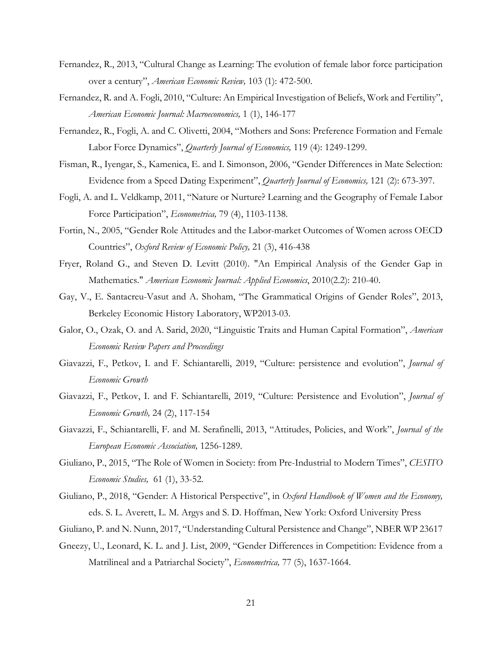- Fernandez, R., 2013, "Cultural Change as Learning: The evolution of female labor force participation over a century", *American Economic Review,* 103 (1): 472-500.
- Fernandez, R. and A. Fogli, 2010, "Culture: An Empirical Investigation of Beliefs, Work and Fertility", *American Economic Journal: Macroeconomics,* 1 (1), 146-177
- Fernandez, R., Fogli, A. and C. Olivetti, 2004, "Mothers and Sons: Preference Formation and Female Labor Force Dynamics", *Quarterly Journal of Economics,* 119 (4): 1249-1299.
- Fisman, R., Iyengar, S., Kamenica, E. and I. Simonson, 2006, "Gender Differences in Mate Selection: Evidence from a Speed Dating Experiment", *Quarterly Journal of Economics,* 121 (2): 673-397.
- Fogli, A. and L. Veldkamp, 2011, "Nature or Nurture? Learning and the Geography of Female Labor Force Participation", *Econometrica,* 79 (4), 1103-1138.
- Fortin, N., 2005, "Gender Role Attitudes and the Labor-market Outcomes of Women across OECD Countries", *Oxford Review of Economic Policy,* 21 (3), 416-438
- Fryer, Roland G., and Steven D. Levitt (2010). "An Empirical Analysis of the Gender Gap in Mathematics." *American Economic Journal: Applied Economics*, 2010(2.2): 210-40.
- Gay, V., E. Santacreu-Vasut and A. Shoham, "The Grammatical Origins of Gender Roles", 2013, Berkeley Economic History Laboratory, WP2013-03.
- Galor, O., Ozak, O. and A. Sarid, 2020, "Linguistic Traits and Human Capital Formation", *American Economic Review Papers and Proceedings*
- Giavazzi, F., Petkov, I. and F. Schiantarelli, 2019, "Culture: persistence and evolution", *Journal of Economic Growth*
- Giavazzi, F., Petkov, I. and F. Schiantarelli, 2019, "Culture: Persistence and Evolution", *Journal of Economic Growth,* 24 (2), 117-154
- Giavazzi, F., Schiantarelli, F. and M. Serafinelli, 2013, "Attitudes, Policies, and Work", *Journal of the European Economic Association,* 1256-1289.
- Giuliano, P., 2015, "The Role of Women in Society: from Pre-Industrial to Modern Times", *CESITO Economic Studies,* 61 (1), 33-52.
- Giuliano, P., 2018, "Gender: A Historical Perspective", in *Oxford Handbook of Women and the Economy,*  eds. S. L. Averett, L. M. Argys and S. D. Hoffman, New York: Oxford University Press
- Giuliano, P. and N. Nunn, 2017, "Understanding Cultural Persistence and Change", NBER WP 23617
- Gneezy, U., Leonard, K. L. and J. List, 2009, "Gender Differences in Competition: Evidence from a Matrilineal and a Patriarchal Society", *Econometrica,* 77 (5), 1637-1664.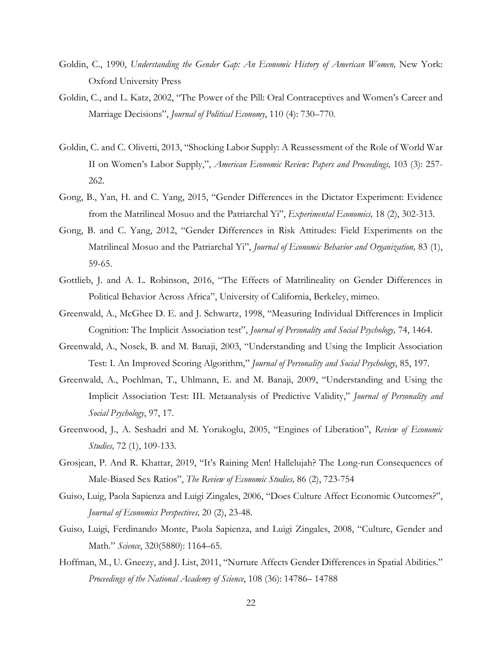- Goldin, C., 1990, *Understanding the Gender Gap: An Economic History of American Women,* New York: Oxford University Press
- Goldin, C., and L. Katz, 2002, "The Power of the Pill: Oral Contraceptives and Women's Career and Marriage Decisions", *Journal of Political Economy*, 110 (4): 730–770.
- Goldin, C. and C. Olivetti, 2013, "Shocking Labor Supply: A Reassessment of the Role of World War II on Women's Labor Supply,", *American Economic Review: Papers and Proceedings,* 103 (3): 257- 262.
- Gong, B., Yan, H. and C. Yang, 2015, "Gender Differences in the Dictator Experiment: Evidence from the Matrilineal Mosuo and the Patriarchal Yi", *Experimental Economics,* 18 (2), 302-313.
- Gong, B. and C. Yang, 2012, "Gender Differences in Risk Attitudes: Field Experiments on the Matrilineal Mosuo and the Patriarchal Yi", *Journal of Economic Behavior and Organization,* 83 (1), 59-65.
- Gottlieb, J. and A. L. Robinson, 2016, "The Effects of Matrilineality on Gender Differences in Political Behavior Across Africa", University of California, Berkeley, mimeo.
- Greenwald, A., McGhee D. E. and J. Schwartz, 1998, "Measuring Individual Differences in Implicit Cognition: The Implicit Association test", *Journal of Personality and Social Psychology,* 74, 1464.
- Greenwald, A., Nosek, B. and M. Banaji, 2003, "Understanding and Using the Implicit Association Test: I. An Improved Scoring Algorithm," *Journal of Personality and Social Psychology*, 85, 197.
- Greenwald, A., Poehlman, T., Uhlmann, E. and M. Banaji, 2009, "Understanding and Using the Implicit Association Test: III. Metaanalysis of Predictive Validity," *Journal of Personality and Social Psychology*, 97, 17.
- Greenwood, J., A. Seshadri and M. Yorukoglu, 2005, "Engines of Liberation", *Review of Economic Studies,* 72 (1), 109-133.
- Grosjean, P. And R. Khattar, 2019, "It's Raining Men! Hallelujah? The Long-run Consequences of Male-Biased Sex Ratios", *The Review of Economic Studies,* 86 (2), 723-754
- Guiso, Luig, Paola Sapienza and Luigi Zingales, 2006, "Does Culture Affect Economic Outcomes?", *Journal of Economics Perspectives,* 20 (2), 23-48.
- Guiso, Luigi, Ferdinando Monte, Paola Sapienza, and Luigi Zingales, 2008, "Culture, Gender and Math." *Science*, 320(5880): 1164–65.
- Hoffman, M., U. Gneezy, and J. List, 2011, "Nurture Affects Gender Differences in Spatial Abilities." *Proceedings of the National Academy of Science*, 108 (36): 14786– 14788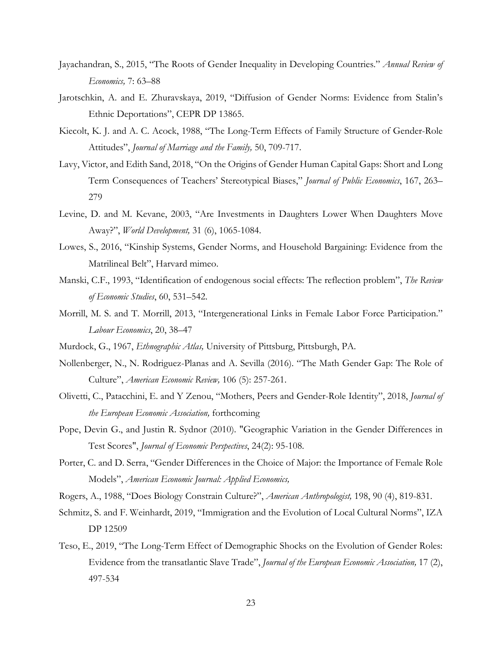- Jayachandran, S., 2015, "The Roots of Gender Inequality in Developing Countries." *Annual Review of Economics,* 7: 63–88
- Jarotschkin, A. and E. Zhuravskaya, 2019, "Diffusion of Gender Norms: Evidence from Stalin's Ethnic Deportations", CEPR DP 13865.
- Kiecolt, K. J. and A. C. Acock, 1988, "The Long-Term Effects of Family Structure of Gender-Role Attitudes", *Journal of Marriage and the Family,* 50, 709-717.
- Lavy, Victor, and Edith Sand, 2018, "On the Origins of Gender Human Capital Gaps: Short and Long Term Consequences of Teachers' Stereotypical Biases," *Journal of Public Economics*, 167, 263– 279
- Levine, D. and M. Kevane, 2003, "Are Investments in Daughters Lower When Daughters Move Away?", *World Development,* 31 (6), 1065-1084.
- Lowes, S., 2016, "Kinship Systems, Gender Norms, and Household Bargaining: Evidence from the Matrilineal Belt", Harvard mimeo.
- Manski, C.F., 1993, "Identification of endogenous social effects: The reflection problem", *The Review of Economic Studies*, 60, 531–542.
- Morrill, M. S. and T. Morrill, 2013, "Intergenerational Links in Female Labor Force Participation." *Labour Economics*, 20, 38–47
- Murdock, G., 1967, *Ethnographic Atlas,* University of Pittsburg, Pittsburgh, PA.
- Nollenberger, N., N. Rodriguez-Planas and A. Sevilla (2016). "The Math Gender Gap: The Role of Culture", *American Economic Review,* 106 (5): 257-261.
- Olivetti, C., Patacchini, E. and Y Zenou, "Mothers, Peers and Gender-Role Identity", 2018, *Journal of the European Economic Association,* forthcoming
- Pope, Devin G., and Justin R. Sydnor (2010). "Geographic Variation in the Gender Differences in Test Scores", *Journal of Economic Perspectives*, 24(2): 95-108.
- Porter, C. and D. Serra, "Gender Differences in the Choice of Major: the Importance of Female Role Models", *American Economic Journal: Applied Economics,*
- Rogers, A., 1988, "Does Biology Constrain Culture?", *American Anthropologist,* 198, 90 (4), 819-831.
- Schmitz, S. and F. Weinhardt, 2019, "Immigration and the Evolution of Local Cultural Norms", IZA DP 12509
- Teso, E., 2019, "The Long-Term Effect of Demographic Shocks on the Evolution of Gender Roles: Evidence from the transatlantic Slave Trade", *Journal of the European Economic Association,* 17 (2), 497-534